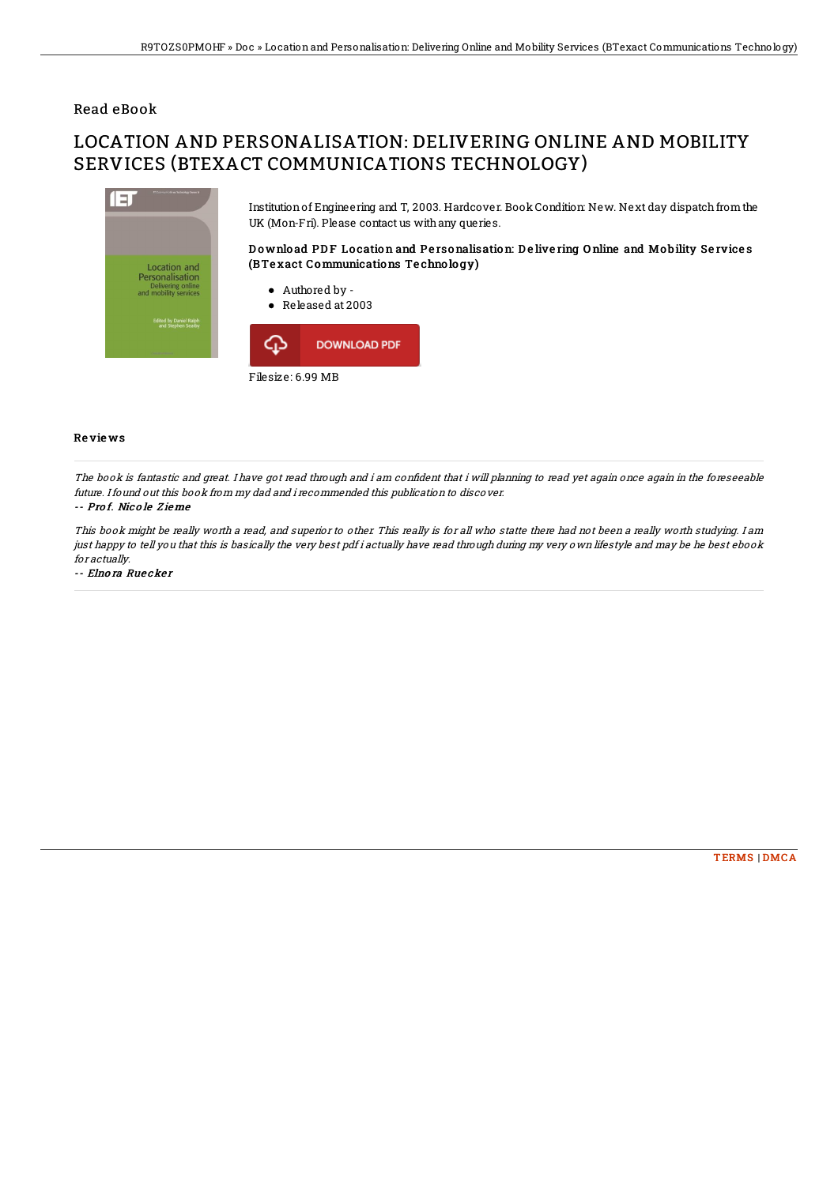## Read eBook

# LOCATION AND PERSONALISATION: DELIVERING ONLINE AND MOBILITY SERVICES (BTEXACT COMMUNICATIONS TECHNOLOGY)



#### **Reviews**

The book is fantastic and great. I have got read through and i am confident that i will planning to read yet again once again in the foreseeable future. I found out this book from my dad and i recommended this publication to discover.

### -- Prof. Nicole Zieme

This book might be really worth a read, and superior to other. This really is for all who statte there had not been a really worth studying. Iam just happy to tell you that this is basically the very best pdf i actually have read through during my very own lifestyle and may be he best ebook for actually

-- Elnora Ruecker